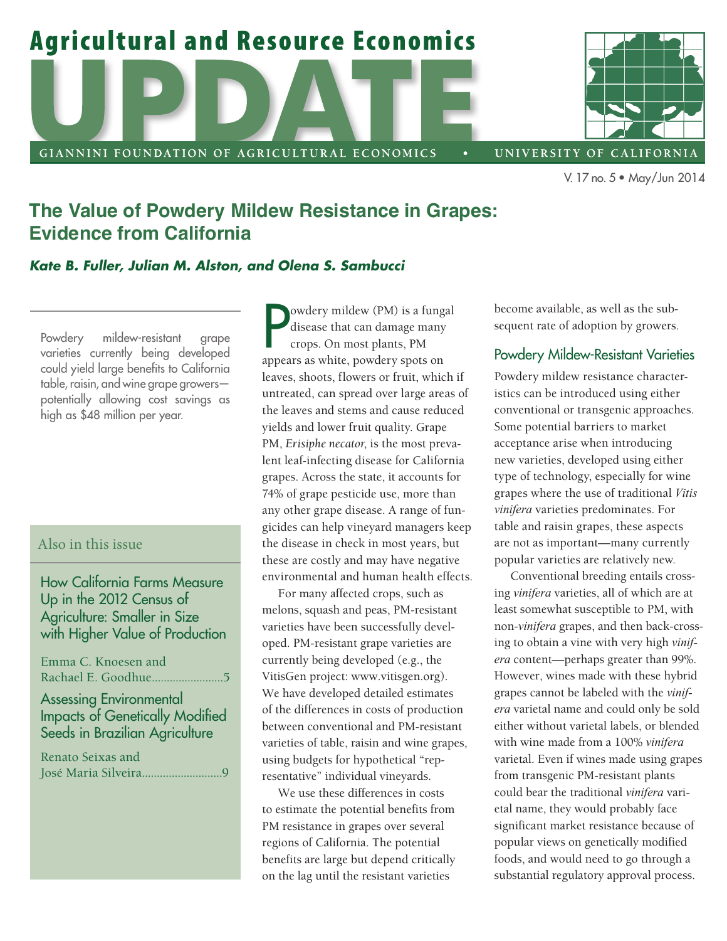

# **The Value of Powdery Mildew Resistance in Grapes: Evidence from California**

#### *Kate B. Fuller, Julian M. Alston, and Olena S. Sambucci*

Powdery mildew-resistant grape varieties currently being developed could yield large benefits to California table, raisin, and wine grape growers potentially allowing cost savings as high as \$48 million per year.

### Also in this issue

### How California Farms Measure Up in the 2012 Census of Agriculture: Smaller in Size with Higher Value of Production

Emma C. Knoesen and Rachael E. Goodhue........................5 Assessing Environmental

## Impacts of Genetically Modified Seeds in Brazilian Agriculture

Renato Seixas and José Maria Silveira...........................9

**P** owdery mildew (PM) is a fungued is a fungued is disease that can damage many crops. On most plants, PM appears as white, powdery spots on owdery mildew (PM) is a fungal disease that can damage many crops. On most plants, PM leaves, shoots, flowers or fruit, which if untreated, can spread over large areas of the leaves and stems and cause reduced yields and lower fruit quality. Grape PM, *Erisiphe necator*, is the most prevalent leaf-infecting disease for California grapes. Across the state, it accounts for 74% of grape pesticide use, more than any other grape disease. A range of fungicides can help vineyard managers keep the disease in check in most years, but these are costly and may have negative environmental and human health effects.

For many affected crops, such as melons, squash and peas, PM-resistant varieties have been successfully developed. PM-resistant grape varieties are currently being developed (e.g., the VitisGen project: www.vitisgen.org). We have developed detailed estimates of the differences in costs of production between conventional and PM-resistant varieties of table, raisin and wine grapes, using budgets for hypothetical "representative" individual vineyards.

We use these differences in costs to estimate the potential benefits from PM resistance in grapes over several regions of California. The potential benefits are large but depend critically on the lag until the resistant varieties

become available, as well as the subsequent rate of adoption by growers.

#### Powdery Mildew-Resistant Varieties

Powdery mildew resistance characteristics can be introduced using either conventional or transgenic approaches. Some potential barriers to market acceptance arise when introducing new varieties, developed using either type of technology, especially for wine grapes where the use of traditional *Vitis vinifera* varieties predominates. For table and raisin grapes, these aspects are not as important—many currently popular varieties are relatively new.

Conventional breeding entails crossing *vinifera* varieties, all of which are at least somewhat susceptible to PM, with non-*vinifera* grapes, and then back-crossing to obtain a vine with very high *vinifera* content—perhaps greater than 99%. However, wines made with these hybrid grapes cannot be labeled with the *vinifera* varietal name and could only be sold either without varietal labels, or blended with wine made from a 100% *vinifera* varietal. Even if wines made using grapes from transgenic PM-resistant plants could bear the traditional *vinifera* varietal name, they would probably face significant market resistance because of popular views on genetically modified foods, and would need to go through a substantial regulatory approval process.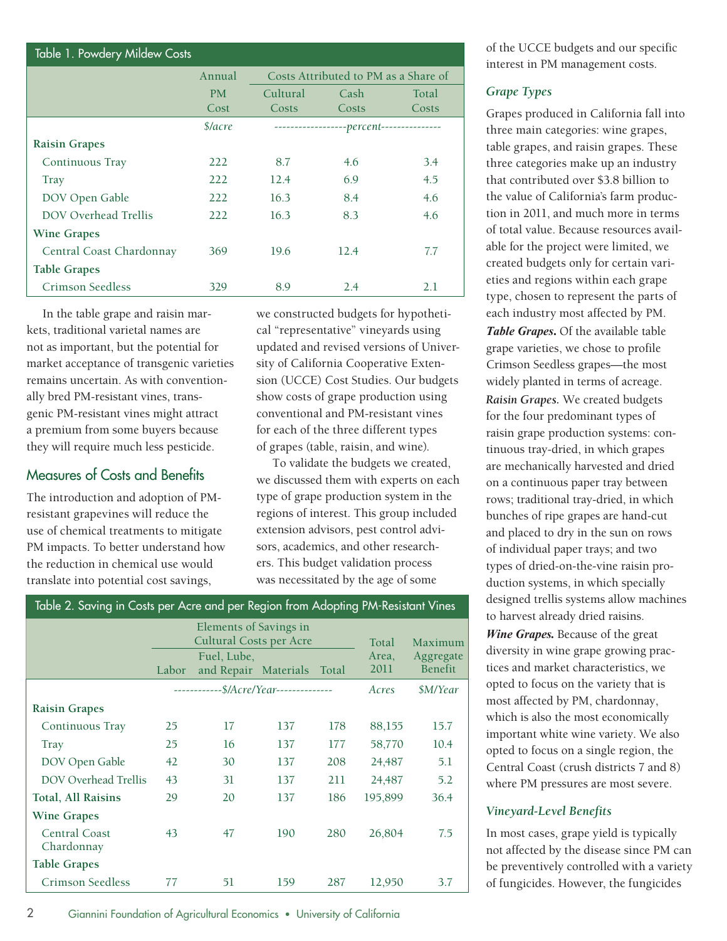| Table 1. Powdery Mildew Costs |               |                                      |                                          |       |  |  |  |
|-------------------------------|---------------|--------------------------------------|------------------------------------------|-------|--|--|--|
|                               | Annual        | Costs Attributed to PM as a Share of |                                          |       |  |  |  |
|                               | <b>PM</b>     | Cultural<br>Cash                     |                                          | Total |  |  |  |
|                               | Cost          | Costs                                | Costs                                    | Costs |  |  |  |
|                               | $\frac{1}{2}$ |                                      | ------------------percent--------------- |       |  |  |  |
| <b>Raisin Grapes</b>          |               |                                      |                                          |       |  |  |  |
| Continuous Tray               | 222           | 8.7                                  | 4.6                                      | 3.4   |  |  |  |
| Tray                          | 222           | 12.4                                 | 6.9                                      | 4.5   |  |  |  |
| DOV Open Gable                | 222           | 16.3                                 | 8.4                                      | 4.6   |  |  |  |
| DOV Overhead Trellis          | 222           | 16.3                                 | 8.3                                      | 4.6   |  |  |  |
| <b>Wine Grapes</b>            |               |                                      |                                          |       |  |  |  |
| Central Coast Chardonnay      | 369           | 19.6                                 | 12.4                                     | 7.7   |  |  |  |
| <b>Table Grapes</b>           |               |                                      |                                          |       |  |  |  |
| Crimson Seedless              | 329           | 8.9                                  | 2.4                                      | 2.1   |  |  |  |

In the table grape and raisin markets, traditional varietal names are not as important, but the potential for market acceptance of transgenic varieties remains uncertain. As with conventionally bred PM-resistant vines, transgenic PM-resistant vines might attract a premium from some buyers because they will require much less pesticide.

### Measures of Costs and Benefits

The introduction and adoption of PMresistant grapevines will reduce the use of chemical treatments to mitigate PM impacts. To better understand how the reduction in chemical use would translate into potential cost savings,

we constructed budgets for hypothetical "representative" vineyards using updated and revised versions of University of California Cooperative Extension (UCCE) Cost Studies. Our budgets show costs of grape production using conventional and PM-resistant vines for each of the three different types of grapes (table, raisin, and wine).

To validate the budgets we created, we discussed them with experts on each type of grape production system in the regions of interest. This group included extension advisors, pest control advisors, academics, and other researchers. This budget validation process was necessitated by the age of some

| Elements of Savings in<br>Cultural Costs per Acre<br>Total<br>Maximum<br>Area,<br>Aggregate<br>Fuel, Lube,<br>Benefit<br>2011<br>Labor<br>and Repair Materials<br>Total<br>------------\$/Acre/Year--------------<br>\$M/Year<br>Acres<br><b>Raisin Grapes</b><br>25<br>Continuous Tray<br>17<br>137<br>178<br>88,155<br>15.7<br>58,770<br>25<br>16<br>10.4<br>137<br>177<br>Tray<br>DOV Open Gable<br>42<br>208<br>30<br>137<br>24,487<br>5.1<br><b>DOV Overhead Trellis</b><br>43<br>31<br>5.2<br>137<br>211<br>24,487<br>Total, All Raisins<br>29<br>20<br>195,899<br>36.4<br>137<br>186<br><b>Wine Grapes</b><br>Central Coast<br>43<br>47<br>190<br>280<br>26,804<br>7.5<br>Chardonnay<br><b>Table Grapes</b><br>Crimson Seedless<br>51<br>159<br>287<br>12,950<br>3.7<br>77 | Table 2. Saving in Costs per Acre and per Region from Adopting PM-Resistant Vines |  |  |  |  |  |  |  |
|-----------------------------------------------------------------------------------------------------------------------------------------------------------------------------------------------------------------------------------------------------------------------------------------------------------------------------------------------------------------------------------------------------------------------------------------------------------------------------------------------------------------------------------------------------------------------------------------------------------------------------------------------------------------------------------------------------------------------------------------------------------------------------------|-----------------------------------------------------------------------------------|--|--|--|--|--|--|--|
|                                                                                                                                                                                                                                                                                                                                                                                                                                                                                                                                                                                                                                                                                                                                                                                   |                                                                                   |  |  |  |  |  |  |  |
|                                                                                                                                                                                                                                                                                                                                                                                                                                                                                                                                                                                                                                                                                                                                                                                   |                                                                                   |  |  |  |  |  |  |  |
|                                                                                                                                                                                                                                                                                                                                                                                                                                                                                                                                                                                                                                                                                                                                                                                   |                                                                                   |  |  |  |  |  |  |  |
|                                                                                                                                                                                                                                                                                                                                                                                                                                                                                                                                                                                                                                                                                                                                                                                   |                                                                                   |  |  |  |  |  |  |  |
|                                                                                                                                                                                                                                                                                                                                                                                                                                                                                                                                                                                                                                                                                                                                                                                   |                                                                                   |  |  |  |  |  |  |  |
|                                                                                                                                                                                                                                                                                                                                                                                                                                                                                                                                                                                                                                                                                                                                                                                   |                                                                                   |  |  |  |  |  |  |  |
|                                                                                                                                                                                                                                                                                                                                                                                                                                                                                                                                                                                                                                                                                                                                                                                   |                                                                                   |  |  |  |  |  |  |  |
|                                                                                                                                                                                                                                                                                                                                                                                                                                                                                                                                                                                                                                                                                                                                                                                   |                                                                                   |  |  |  |  |  |  |  |
|                                                                                                                                                                                                                                                                                                                                                                                                                                                                                                                                                                                                                                                                                                                                                                                   |                                                                                   |  |  |  |  |  |  |  |
|                                                                                                                                                                                                                                                                                                                                                                                                                                                                                                                                                                                                                                                                                                                                                                                   |                                                                                   |  |  |  |  |  |  |  |
|                                                                                                                                                                                                                                                                                                                                                                                                                                                                                                                                                                                                                                                                                                                                                                                   |                                                                                   |  |  |  |  |  |  |  |
|                                                                                                                                                                                                                                                                                                                                                                                                                                                                                                                                                                                                                                                                                                                                                                                   |                                                                                   |  |  |  |  |  |  |  |

of the UCCE budgets and our specific interest in PM management costs.

#### *Grape Types*

Grapes produced in California fall into three main categories: wine grapes, table grapes, and raisin grapes. These three categories make up an industry that contributed over \$3.8 billion to the value of California's farm production in 2011, and much more in terms of total value. Because resources available for the project were limited, we created budgets only for certain varieties and regions within each grape type, chosen to represent the parts of each industry most affected by PM. *Table Grapes***.** Of the available table grape varieties, we chose to profile Crimson Seedless grapes—the most widely planted in terms of acreage. *Raisin Grapes.* We created budgets for the four predominant types of raisin grape production systems: continuous tray-dried, in which grapes are mechanically harvested and dried on a continuous paper tray between rows; traditional tray-dried, in which bunches of ripe grapes are hand-cut and placed to dry in the sun on rows of individual paper trays; and two types of dried-on-the-vine raisin production systems, in which specially designed trellis systems allow machines to harvest already dried raisins. *Wine Grapes.* Because of the great diversity in wine grape growing practices and market characteristics, we opted to focus on the variety that is most affected by PM, chardonnay, which is also the most economically important white wine variety. We also opted to focus on a single region, the Central Coast (crush districts 7 and 8)

#### *Vineyard-Level Benefits*

In most cases, grape yield is typically not affected by the disease since PM can be preventively controlled with a variety of fungicides. However, the fungicides

where PM pressures are most severe.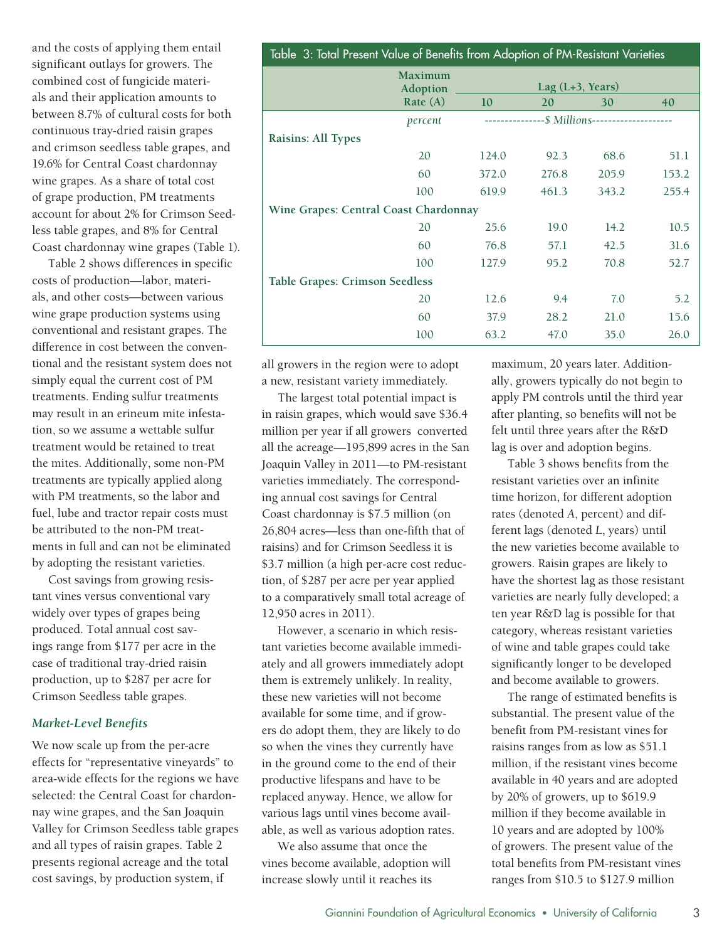and the costs of applying them entail significant outlays for growers. The combined cost of fungicide materials and their application amounts to between 8.7% of cultural costs for both continuous tray-dried raisin grapes and crimson seedless table grapes, and 19.6% for Central Coast chardonnay wine grapes. As a share of total cost of grape production, PM treatments account for about 2% for Crimson Seedless table grapes, and 8% for Central Coast chardonnay wine grapes (Table 1).

Table 2 shows differences in specific costs of production—labor, materials, and other costs—between various wine grape production systems using conventional and resistant grapes. The difference in cost between the conventional and the resistant system does not simply equal the current cost of PM treatments. Ending sulfur treatments may result in an erineum mite infestation, so we assume a wettable sulfur treatment would be retained to treat the mites. Additionally, some non-PM treatments are typically applied along with PM treatments, so the labor and fuel, lube and tractor repair costs must be attributed to the non-PM treatments in full and can not be eliminated by adopting the resistant varieties.

Cost savings from growing resistant vines versus conventional vary widely over types of grapes being produced. Total annual cost savings range from \$177 per acre in the case of traditional tray-dried raisin production, up to \$287 per acre for Crimson Seedless table grapes.

#### *Market-Level Benefits*

We now scale up from the per-acre effects for "representative vineyards" to area-wide effects for the regions we have selected: the Central Coast for chardonnay wine grapes, and the San Joaquin Valley for Crimson Seedless table grapes and all types of raisin grapes. Table 2 presents regional acreage and the total cost savings, by production system, if

| Table 3: Total Present Value of Benefits from Adoption of PM-Resistant Varieties |                                       |           |                                               |                            |       |  |  |
|----------------------------------------------------------------------------------|---------------------------------------|-----------|-----------------------------------------------|----------------------------|-------|--|--|
|                                                                                  | <b>Maximum</b><br>Adoption            |           |                                               | Lag $(L+3, \text{ Years})$ |       |  |  |
|                                                                                  | Rate $(A)$                            | <b>10</b> | 20                                            | 30                         | 40    |  |  |
|                                                                                  | percent                               |           | --------------\$ Millions-------------------- |                            |       |  |  |
| Raisins: All Types                                                               |                                       |           |                                               |                            |       |  |  |
|                                                                                  | 20                                    | 124.0     | 92.3                                          | 68.6                       | 51.1  |  |  |
|                                                                                  | 60                                    | 372.0     | 276.8                                         | 205.9                      | 153.2 |  |  |
|                                                                                  | 100                                   | 619.9     | 461.3                                         | 343.2                      | 255.4 |  |  |
|                                                                                  | Wine Grapes: Central Coast Chardonnay |           |                                               |                            |       |  |  |
|                                                                                  | 20                                    | 25.6      | 19.0                                          | 14.2                       | 10.5  |  |  |
|                                                                                  | 60                                    | 76.8      | 57.1                                          | 42.5                       | 31.6  |  |  |
|                                                                                  | 100                                   | 127.9     | 95.2                                          | 70.8                       | 52.7  |  |  |
| <b>Table Grapes: Crimson Seedless</b>                                            |                                       |           |                                               |                            |       |  |  |
|                                                                                  | 20                                    | 12.6      | 9.4                                           | 7.0                        | 5.2   |  |  |
|                                                                                  | 60                                    | 37.9      | 28.2                                          | 21.0                       | 15.6  |  |  |
|                                                                                  | 100                                   | 63.2      | 47.0                                          | 35.0                       | 26.0  |  |  |

all growers in the region were to adopt a new, resistant variety immediately.

The largest total potential impact is in raisin grapes, which would save \$36.4 million per year if all growers converted all the acreage—195,899 acres in the San Joaquin Valley in 2011—to PM-resistant varieties immediately. The corresponding annual cost savings for Central Coast chardonnay is \$7.5 million (on 26,804 acres—less than one-fifth that of raisins) and for Crimson Seedless it is \$3.7 million (a high per-acre cost reduction, of \$287 per acre per year applied to a comparatively small total acreage of 12,950 acres in 2011).

However, a scenario in which resistant varieties become available immediately and all growers immediately adopt them is extremely unlikely. In reality, these new varieties will not become available for some time, and if growers do adopt them, they are likely to do so when the vines they currently have in the ground come to the end of their productive lifespans and have to be replaced anyway. Hence, we allow for various lags until vines become available, as well as various adoption rates.

We also assume that once the vines become available, adoption will increase slowly until it reaches its

maximum, 20 years later. Additionally, growers typically do not begin to apply PM controls until the third year after planting, so benefits will not be felt until three years after the R&D lag is over and adoption begins.

Table 3 shows benefits from the resistant varieties over an infinite time horizon, for different adoption rates (denoted *A*, percent) and different lags (denoted *L*, years) until the new varieties become available to growers. Raisin grapes are likely to have the shortest lag as those resistant varieties are nearly fully developed; a ten year R&D lag is possible for that category, whereas resistant varieties of wine and table grapes could take significantly longer to be developed and become available to growers.

The range of estimated benefits is substantial. The present value of the benefit from PM-resistant vines for raisins ranges from as low as \$51.1 million, if the resistant vines become available in 40 years and are adopted by 20% of growers, up to \$619.9 million if they become available in 10 years and are adopted by 100% of growers. The present value of the total benefits from PM-resistant vines ranges from \$10.5 to \$127.9 million